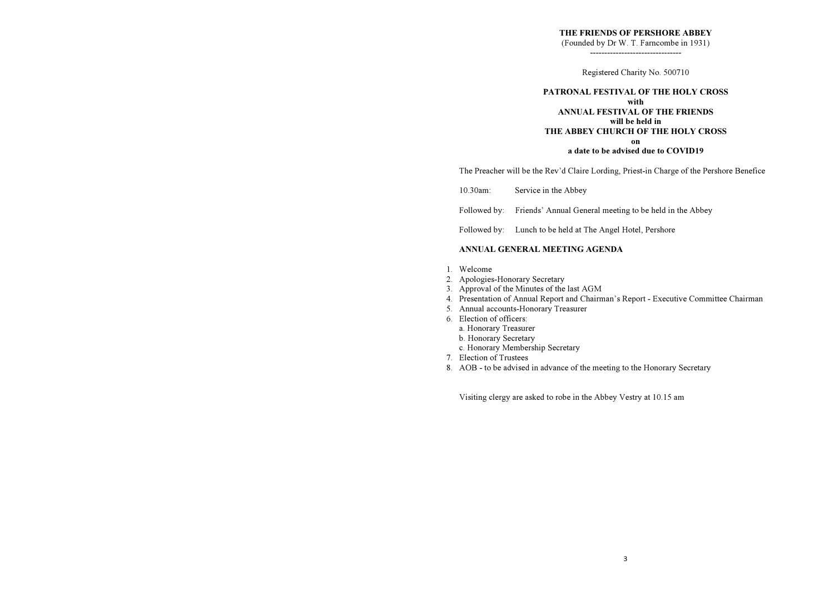#### **THE FRIENDS OF PERSHORE ABBEY**

(Founded by Dr W. T. Farncombe in 1931)

--------------------------------

Registered Charity No. 500710

# **PATRONAL FESTIVAL OF THE HOLY CROSS with ANNUAL FESTIVAL OF THE FRIENDS will be held in THE ABBEY CHURCH OF THE HOLY CROSS on**

**a date to be advised due to COVID19**

The Preacher will be the Rev'd Claire Lording, Priest-in Charge of the Pershore Benefice

10.30am: Service in the Abbey

Followed by: Friends' Annual General meeting to be held in the Abbey

Followed by: Lunch to be held at The Angel Hotel, Pershore

# **ANNUAL GENERAL MEETING AGENDA**

- 1. Welcome
- 2. Apologies-Honorary Secretary
- 3. Approval of the Minutes of the last AGM
- 4. Presentation of Annual Report and Chairman's Report Executive Committee Chairman
- 5. Annual accounts-Honorary Treasurer
- 6. Election of officers:
	- a. Honorary Treasurer
	- b. Honorary Secretary
	- c. Honorary Membership Secretary
- 7. Election of Trustees
- 8. AOB to be advised in advance of the meeting to the Honorary Secretary

Visiting clergy are asked to robe in the Abbey Vestry at 10.15 am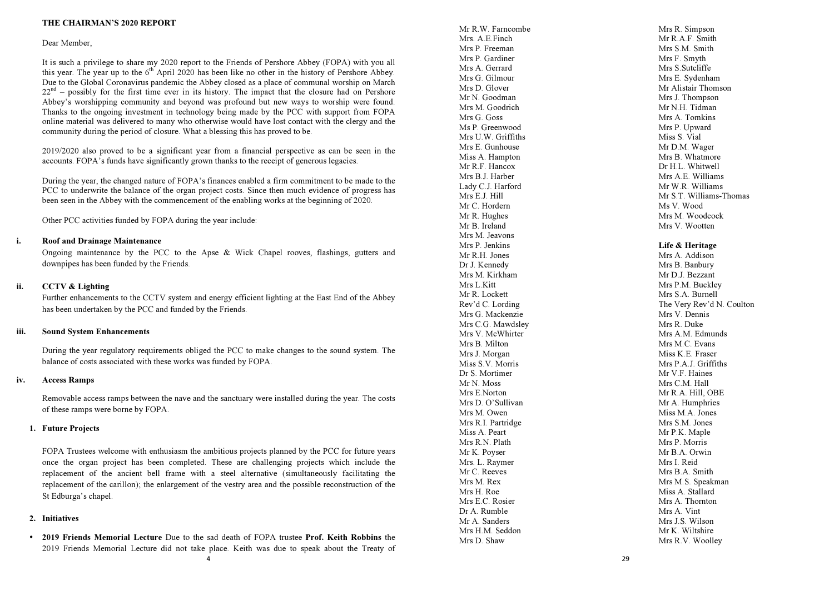# **THE CHAIRMAN'S 2020 REPORT**

## Dear Member,

It is such a privilege to share my 2020 report to the Friends of Pershore Abbey (FOPA) with you all this year. The year up to the  $6<sup>th</sup>$  April 2020 has been like no other in the history of Pershore Abbey. Due to the Global Coronavirus pandemic the Abbey closed as a place of communal worship on March  $22<sup>nd</sup>$  – possibly for the first time ever in its history. The impact that the closure had on Pershore Abbey's worshipping community and beyond was profound but new ways to worship were found. Thanks to the ongoing investment in technology being made by the PCC with support from FOPA online material was delivered to many who otherwise would have lost contact with the clergy and the community during the period of closure. What a blessing this has proved to be.

2019/2020 also proved to be a significant year from a financial perspective as can be seen in the accounts. FOPA's funds have significantly grown thanks to the receipt of generous legacies.

During the year, the changed nature of FOPA's finances enabled a firm commitment to be made to the PCC to underwrite the balance of the organ project costs. Since then much evidence of progress has been seen in the Abbey with the commencement of the enabling works at the beginning of 2020.

Other PCC activities funded by FOPA during the year include:

## **i. Roof and Drainage Maintenance**

Ongoing maintenance by the PCC to the Apse & Wick Chapel rooves, flashings, gutters and downpipes has been funded by the Friends.

# **ii. CCTV & Lighting**

Further enhancements to the CCTV system and energy efficient lighting at the East End of the Abbey has been undertaken by the PCC and funded by the Friends.

### **iii. Sound System Enhancements**

During the year regulatory requirements obliged the PCC to make changes to the sound system. The balance of costs associated with these works was funded by FOPA.

## **iv. Access Ramps**

Removable access ramps between the nave and the sanctuary were installed during the year. The costs of these ramps were borne by FOPA.

### **1. Future Projects**

FOPA Trustees welcome with enthusiasm the ambitious projects planned by the PCC for future years once the organ project has been completed. These are challenging projects which include the replacement of the ancient bell frame with a steel alternative (simultaneously facilitating the replacement of the carillon); the enlargement of the vestry area and the possible reconstruction of the St Edburga's chapel.

### **2. Initiatives**

 $\mathbf{A}$ • **2019 Friends Memorial Lecture** Due to the sad death of FOPA trustee **Prof. Keith Robbins** the 2019 Friends Memorial Lecture did not take place. Keith was due to speak about the Treaty of Mr R.W. Farncombe Mrs. A.E.Finch Mrs P. Freeman Mrs P. Gardiner Mrs A. Gerrard Mrs G. Gilmour Mrs D. Glover Mr N. Goodman Mrs M. Goodrich Mrs G. Goss Ms P. Greenwood Mrs U.W. Griffiths Mrs E. Gunhouse Miss A. Hampton Mr R.F. Hancox Mrs B.J. Harber Lady C.J. Harford Mrs E.J. Hill Mr C. Hordern Mr R. Hughes Mr B. Ireland Mrs M. Jeavons Mrs P. Jenkins Mr R.H. Jones Dr J. Kennedy Mrs M. Kirkham Mrs L.Kitt Mr R. Lockett Rev'd C. Lording Mrs G. Mackenzie Mrs C.G. Mawdsley Mrs V. McWhirter Mrs B. Milton Mrs J. Morgan Miss S.V. Morris Dr S. Mortimer Mr N. Moss Mrs E.Norton Mrs D. O'Sullivan Mrs M. Owen Mrs R.I. Partridge Miss A. Peart Mrs R.N. Plath Mr K. Poyser Mrs. L. Raymer Mr C. Reeves Mrs M. Rex Mrs H. Roe Mrs E.C. Rosier Dr A. Rumble Mr A. Sanders Mrs H.M. Seddon Mrs D. Shaw

Mrs R. Simpson Mr R.A.F. Smith Mrs S<sub>M.</sub> Smith Mrs F. Smyth Mrs S.Sutcliffe Mrs E. Sydenham Mr Alistair Thomson Mrs J. Thompson Mr N.H. Tidman Mrs A. Tomkins Mrs P. Upward Miss S. Vial Mr D.M. Wager Mrs B. Whatmore Dr H<sub>L</sub>. Whitwell Mrs A.E. Williams Mr W.R. Williams Mr S.T. Williams-Thomas Ms V. Wood Mrs M. Woodcock Mrs V. Wootten

# **Life & Heritage**

Mrs A. Addison Mrs B. Banbury Mr D.J. Bezzant Mrs P.M. Buckley Mrs S.A. Burnell The Very Rev'd N. Coulton Mrs V. Dennis Mrs R. Duke Mrs A.M. Edmunds Mrs M.C. Evans Miss K.E. Fraser Mrs P.A.J. Griffiths Mr V.F. Haines Mrs C.M. Hall Mr R.A. Hill, OBE Mr A. Humphries Miss M.A. Jones Mrs S.M. Jones Mr P.K. Maple Mrs P. Morris Mr B.A. Orwin Mrs I. Reid Mrs B.A. Smith Mrs M.S. Speakman Miss A. Stallard Mrs A. Thornton Mrs A. Vint Mrs J.S. Wilson Mr K. Wiltshire Mrs R.V. Woolley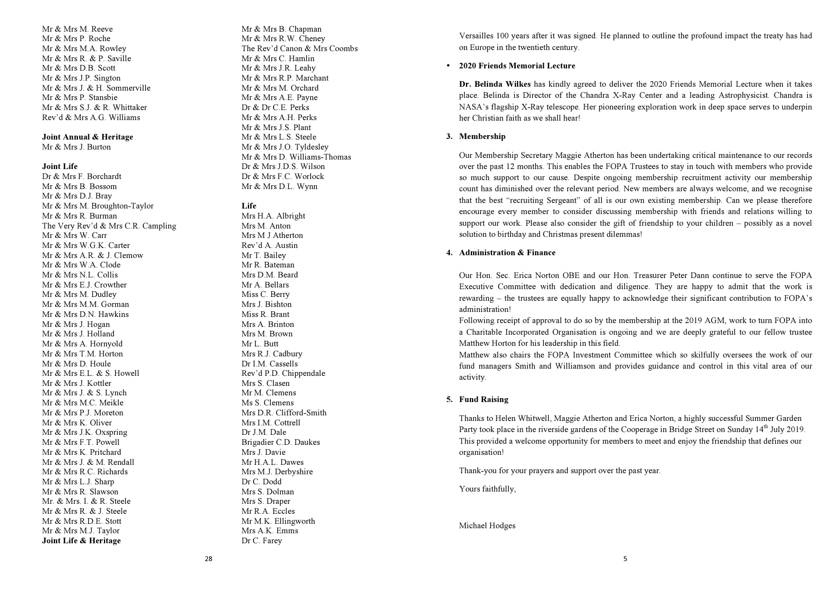Mr & Mrs M. Reeve Mr & Mrs P. Roche Mr & Mrs M.A. Rowley Mr & Mrs R. & P. Saville Mr & Mrs D.B. Scott Mr & Mrs J.P. Sington Mr & Mrs J. & H. Sommerville Mr & Mrs P. Stansbie Mr & Mrs S.J. & R. Whittaker Rev'd & Mrs A.G. Williams

# **Joint Annual & Heritage**

Mr & Mrs J. Burton

### **Joint Life**

Dr & Mrs F. Borchardt Mr & Mrs B. Bossom Mr & Mrs D.J. Bray Mr & Mrs M. Broughton-Taylor Mr & Mrs R. Burman The Very Rev'd & Mrs C.R. Campling Mr & Mrs W. Carr Mr & Mrs W.G.K. Carter Mr & Mrs A.R. & J. Clemow Mr & Mrs W.A. Clode Mr & Mrs N.L. Collis Mr & Mrs E.J. Crowther Mr & Mrs M. Dudley Mr & Mrs M.M. Gorman Mr & Mrs D.N. Hawkins Mr & Mrs J. Hogan Mr & Mrs J. Holland Mr & Mrs A. Hornyold Mr & Mrs T.M. Horton Mr & Mrs D. Houle Mr & Mrs E.L. & S. Howell Mr & Mrs J. Kottler Mr & Mrs J. & S. Lynch Mr & Mrs M.C. Meikle Mr & Mrs P.J. Moreton Mr & Mrs K. Oliver Mr & Mrs J.K. Oxspring  $Mr & Mrs F T. Powell$ Mr & Mrs K. Pritchard Mr & Mrs J. & M. Rendall Mr & Mrs R.C. Richards Mr & Mrs L.J. Sharp Mr & Mrs R. Slawson Mr. & Mrs. I. & R. Steele Mr & Mrs R. & J. Steele Mr & Mrs R.D.E. Stott Mr & Mrs M.J. Taylor **Joint Life & Heritage**

Mr & Mrs B. Chapman Mr & Mrs R.W. Cheney The Rev'd Canon & Mrs Coombs Mr & Mrs C. Hamlin Mr & Mrs J.R. Leahy Mr & Mrs R.P. Marchant Mr & Mrs M. Orchard Mr & Mrs A.E. Payne Dr & Dr C.E. Perks Mr & Mrs A.H. Perks Mr & Mrs J.S. Plant Mr & Mrs L.S. Steele Mr & Mrs J.O. Tyldesley Mr & Mrs D. Williams-Thomas Dr & Mrs J.D.S. Wilson Dr & Mrs F.C. Worlock Mr & Mrs D.L. Wynn

# **Life**

Mrs H.A. Albright Mrs M. Anton Mrs M J Atherton Rev'd A. Austin Mr T. Bailey Mr R. Bateman Mrs D.M. Beard Mr A. Bellars Miss C. Berry Mrs J. Bishton Miss R. Brant Mrs A. Brinton Mrs M. Brown Mr L. Butt Mrs R.J. Cadbury Dr I.M. Cassells Rev'd P.D. Chippendale Mrs S. Clasen Mr M. Clemens Ms S. Clemens Mrs D.R. Clifford-Smith Mrs I.M. Cottrell Dr J.M. Dale Brigadier C.D. Daukes Mrs J. Davie Mr H.A.L. Dawes Mrs M.J. Derbyshire Dr C. Dodd Mrs S. Dolman Mrs S. Draper Mr R.A. Eccles Mr M K. Ellingworth Mrs A.K. Emms Dr C. Farey

Versailles 100 years after it was signed. He planned to outline the profound impact the treaty has had on Europe in the twentieth century.

# • **2020 Friends Memorial Lecture**

**Dr. Belinda Wilkes** has kindly agreed to deliver the 2020 Friends Memorial Lecture when it takes place. Belinda is Director of the Chandra X-Ray Center and a leading Astrophysicist. Chandra is NASA's flagship X-Ray telescope. Her pioneering exploration work in deep space serves to underpin her Christian faith as we shall hear!

# **3. Membership**

Our Membership Secretary Maggie Atherton has been undertaking critical maintenance to our records over the past 12 months. This enables the FOPA Trustees to stay in touch with members who provide so much support to our cause. Despite ongoing membership recruitment activity our membership count has diminished over the relevant period. New members are always welcome, and we recognise that the best "recruiting Sergeant" of all is our own existing membership. Can we please therefore encourage every member to consider discussing membership with friends and relations willing to support our work. Please also consider the gift of friendship to your children – possibly as a novel solution to birthday and Christmas present dilemmas!

# **4. Administration & Finance**

Our Hon. Sec. Erica Norton OBE and our Hon. Treasurer Peter Dann continue to serve the FOPA Executive Committee with dedication and diligence. They are happy to admit that the work is rewarding – the trustees are equally happy to acknowledge their significant contribution to FOPA's administration!

Following receipt of approval to do so by the membership at the 2019 AGM, work to turn FOPA into a Charitable Incorporated Organisation is ongoing and we are deeply grateful to our fellow trustee Matthew Horton for his leadership in this field.

Matthew also chairs the FOPA Investment Committee which so skilfully oversees the work of our fund managers Smith and Williamson and provides guidance and control in this vital area of our activity.

# **5. Fund Raising**

Thanks to Helen Whitwell, Maggie Atherton and Erica Norton, a highly successful Summer Garden Party took place in the riverside gardens of the Cooperage in Bridge Street on Sunday 14<sup>th</sup> July 2019. This provided a welcome opportunity for members to meet and enjoy the friendship that defines our organisation!

Thank-you for your prayers and support over the past year.

Yours faithfully,

# Michael Hodges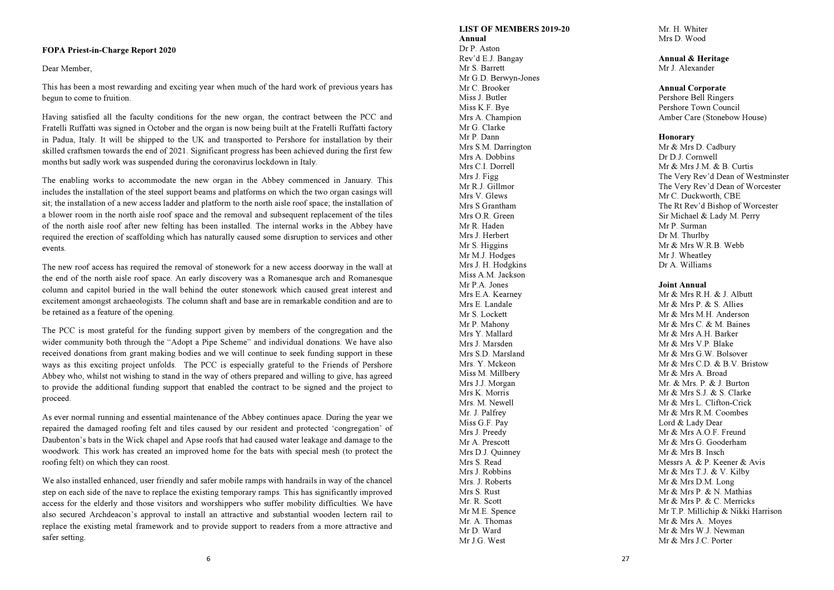## **FOPA Priest-in-Charge Report 2020**

#### Dear Member,

This has been a most rewarding and exciting year when much of the hard work of previous years has begun to come to fruition.

Having satisfied all the faculty conditions for the new organ, the contract between the PCC and Fratelli Ruffatti was signed in October and the organ is now being built at the Fratelli Ruffatti factory in Padua, Italy. It will be shipped to the UK and transported to Pershore for installation by their skilled craftsmen towards the end of 2021. Significant progress has been achieved during the first few months but sadly work was suspended during the coronavirus lockdown in Italy.

The enabling works to accommodate the new organ in the Abbey commenced in January. This includes the installation of the steel support beams and platforms on which the two organ casings will sit; the installation of a new access ladder and platform to the north aisle roof space; the installation of a blower room in the north aisle roof space and the removal and subsequent replacement of the tiles of the north aisle roof after new felting has been installed. The internal works in the Abbey have required the erection of scaffolding which has naturally caused some disruption to services and other events.

The new roof access has required the removal of stonework for a new access doorway in the wall at the end of the north aisle roof space. An early discovery was a Romanesque arch and Romanesque column and capitol buried in the wall behind the outer stonework which caused great interest and excitement amongst archaeologists. The column shaft and base are in remarkable condition and are to be retained as a feature of the opening.

The PCC is most grateful for the funding support given by members of the congregation and the wider community both through the "Adopt a Pipe Scheme" and individual donations. We have also received donations from grant making bodies and we will continue to seek funding support in these ways as this exciting project unfolds. The PCC is especially grateful to the Friends of Pershore Abbey who, whilst not wishing to stand in the way of others prepared and willing to give, has agreed to provide the additional funding support that enabled the contract to be signed and the project to proceed.

As ever normal running and essential maintenance of the Abbey continues apace. During the year we repaired the damaged roofing felt and tiles caused by our resident and protected 'congregation' of Daubenton's bats in the Wick chapel and Apse roofs that had caused water leakage and damage to the woodwork. This work has created an improved home for the bats with special mesh (to protect the roofing felt) on which they can roost.

We also installed enhanced, user friendly and safer mobile ramps with handrails in way of the chancel step on each side of the nave to replace the existing temporary ramps. This has significantly improved access for the elderly and those visitors and worshippers who suffer mobility difficulties. We have also secured Archdeacon's approval to install an attractive and substantial wooden lectern rail to replace the existing metal framework and to provide support to readers from a more attractive and safer setting.

**LIST OF MEMBERS 2019-20 Annual** Dr P. Aston Rev'd E.J. Bangay Mr S. Barrett Mr G.D. Berwyn-Jones Mr C. Brooker Miss J. Butler Miss K.F. Bye Mrs A. Champion Mr G. Clarke Mr P. Dann Mrs S.M. Darrington Mrs A. Dobbins Mrs C.I. Dorrell Mrs J. Figg Mr R.J. Gillmor Mrs V. Glews Mrs S Grantham Mrs O.R. Green Mr R. Haden Mrs J. Herbert Mr S. Higgins Mr M.J. Hodges Mrs J. H. Hodgkins Miss A.M. Jackson Mr P.A. Jones Mrs E.A. Kearney Mrs E. Landale Mr S. Lockett Mr P. Mahony Mrs Y. Mallard Mrs J. Marsden Mrs S.D. Marsland Mrs. Y. Mckeon Miss M. Millbery Mrs J.J. Morgan Mrs K. Morris Mrs. M. Newell Mr. J. Palfrey Miss G.F. Pay Mrs J. Preedy Mr A. Prescott Mrs D.J. Quinney Mrs S. Read Mrs J. Robbins Mrs. J. Roberts Mrs S. Rust Mr. R. Scott Mr M.E. Spence Mr. A. Thomas Mr D. Ward Mr J.G. West

Mr. H. Whiter Mrs D. Wood

**Annual & Heritage**

Mr J. Alexander

#### **Annual Corporate**

Pershore Bell Ringers Pershore Town Council Amber Care (Stonebow House)

### **Honorary**

Mr & Mrs D. Cadbury Dr D.J. Cornwell Mr & Mrs J.M. & B. Curtis The Very Rev'd Dean of Westminster The Very Rev'd Dean of Worcester Mr C. Duckworth, CBE The Rt Rev'd Bishop of Worcester Sir Michael & Lady M. Perry Mr P. Surman Dr M. Thurlby  $Mr & Mrs$  W.R.B. Webb Mr J. Wheatley Dr A. Williams

#### **Joint Annual**

 $Mr & Mrs R H & L$  Albutt Mr & Mrs P. & S. Allies Mr & Mrs M.H. Anderson Mr & Mrs C. & M. Baines Mr & Mrs A H. Barker Mr & Mrs V.P. Blake Mr & Mrs G.W. Bolsover  $Mr & Mrs C D & R B V.$  Bristow Mr & Mrs A. Broad Mr. & Mrs. P. & J. Burton Mr & Mrs S.J. & S. Clarke Mr & Mrs L. Clifton-Crick Mr & Mrs R.M. Coombes Lord & Lady Dear Mr & Mrs A.O.F. Freund Mr & Mrs G. Gooderham Mr & Mrs B. Insch Messrs A. & P. Keener & Avis Mr & Mrs T.J. & V. Kilby Mr & Mrs D.M. Long Mr & Mrs P. & N. Mathias Mr & Mrs P. & C. Merricks Mr T.P. Millichip & Nikki Harrison Mr & Mrs A. Moyes Mr & Mrs W.J. Newman Mr & Mrs J.C. Porter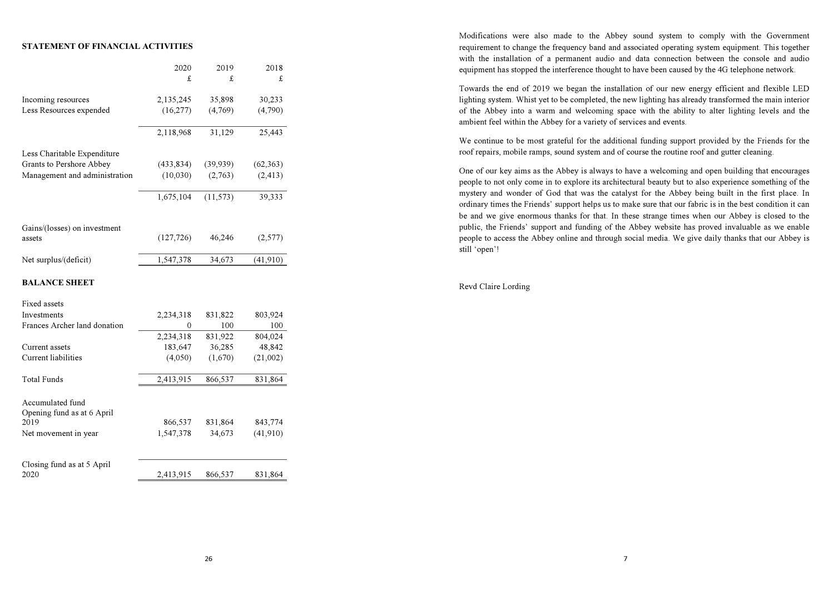# **STATEMENT OF FINANCIAL ACTIVITIES**

|                                    | 2020       | 2019      | 2018      |
|------------------------------------|------------|-----------|-----------|
|                                    | £          | £         | £         |
| Incoming resources                 | 2,135,245  | 35,898    | 30,233    |
| Less Resources expended            | (16, 277)  | (4,769)   | (4,790)   |
|                                    | 2,118,968  | 31,129    | 25,443    |
| Less Charitable Expenditure        |            |           |           |
| Grants to Pershore Abbey           | (433, 834) | (39, 939) | (62, 363) |
| Management and administration      | (10,030)   | (2,763)   | (2, 413)  |
|                                    | 1,675,104  | (11, 573) | 39,333    |
| Gains/(losses) on investment       |            |           |           |
| assets                             | (127, 726) | 46,246    | (2,577)   |
| Net surplus/(deficit)              | 1,547,378  | 34,673    | (41, 910) |
| <b>BALANCE SHEET</b>               |            |           |           |
| Fixed assets                       |            |           |           |
| Investments                        | 2,234,318  | 831,822   | 803,924   |
| Frances Archer land donation       | 0          | 100       | 100       |
|                                    | 2,234,318  | 831,922   | 804,024   |
| Current assets                     | 183,647    | 36,285    | 48,842    |
| Current liabilities                | (4,050)    | (1,670)   | (21,002)  |
| <b>Total Funds</b>                 | 2,413,915  | 866,537   | 831,864   |
| Accumulated fund                   |            |           |           |
| Opening fund as at 6 April<br>2019 | 866,537    | 831,864   | 843,774   |
| Net movement in year               | 1,547,378  | 34,673    | (41, 910) |
|                                    |            |           |           |
| Closing fund as at 5 April         |            |           |           |
| 2020                               | 2,413,915  | 866,537   | 831,864   |

Modifications were also made to the Abbey sound system to comply with the Government requirement to change the frequency band and associated operating system equipment. This together with the installation of a permanent audio and data connection between the console and audio equipment has stopped the interference thought to have been caused by the 4G telephone network.

Towards the end of 2019 we began the installation of our new energy efficient and flexible LED lighting system. Whist yet to be completed, the new lighting has already transformed the main interior of the Abbey into a warm and welcoming space with the ability to alter lighting levels and the ambient feel within the Abbey for a variety of services and events.

We continue to be most grateful for the additional funding support provided by the Friends for the roof repairs, mobile ramps, sound system and of course the routine roof and gutter cleaning.

One of our key aims as the Abbey is always to have a welcoming and open building that encourages people to not only come in to explore its architectural beauty but to also experience something of the mystery and wonder of God that was the catalyst for the Abbey being built in the first place. In ordinary times the Friends' support helps us to make sure that our fabric is in the best condition it can be and we give enormous thanks for that. In these strange times when our Abbey is closed to the public, the Friends' support and funding of the Abbey website has proved invaluable as we enable people to access the Abbey online and through social media. We give daily thanks that our Abbey is still 'open'!

Revd Claire Lording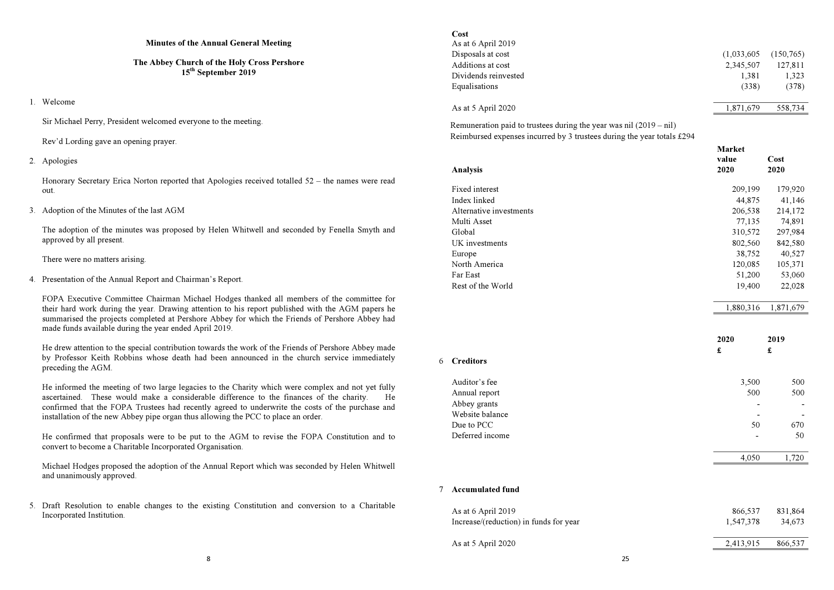|                                            | <b>Minutes of the Annual General Meeting</b><br>The Abbey Church of the Holy Cross Pershore<br>15 <sup>th</sup> September 2019                                                                                                                                                                                                                                                              | Cost<br>As at 6 April 2019<br>Disposals at cost<br>Additions at cost<br>Dividends reinvested<br>Equalisations | (1,033,605)<br>2,345,507<br>1,381<br>(338) | (150, 765)<br>127,811<br>1,323<br>(378) |
|--------------------------------------------|---------------------------------------------------------------------------------------------------------------------------------------------------------------------------------------------------------------------------------------------------------------------------------------------------------------------------------------------------------------------------------------------|---------------------------------------------------------------------------------------------------------------|--------------------------------------------|-----------------------------------------|
| 1. Welcome                                 |                                                                                                                                                                                                                                                                                                                                                                                             | As at 5 April 2020                                                                                            | 1,871,679                                  | 558,734                                 |
|                                            | Sir Michael Perry, President welcomed everyone to the meeting.                                                                                                                                                                                                                                                                                                                              | Remuneration paid to trustees during the year was nil $(2019 - nil)$                                          |                                            |                                         |
| Rev'd Lording gave an opening prayer.      |                                                                                                                                                                                                                                                                                                                                                                                             | Reimbursed expenses incurred by 3 trustees during the year totals £294                                        | Market                                     |                                         |
| 2. Apologies                               |                                                                                                                                                                                                                                                                                                                                                                                             | <b>Analysis</b>                                                                                               | value<br>2020                              | Cost<br>2020                            |
| out.                                       | Honorary Secretary Erica Norton reported that Apologies received totalled 52 – the names were read                                                                                                                                                                                                                                                                                          | Fixed interest                                                                                                | 209,199                                    | 179,920                                 |
| 3. Adoption of the Minutes of the last AGM |                                                                                                                                                                                                                                                                                                                                                                                             | Index linked<br>Alternative investments                                                                       | 44,875<br>206,538                          | 41,146<br>214,172                       |
| approved by all present.                   | The adoption of the minutes was proposed by Helen Whitwell and seconded by Fenella Smyth and                                                                                                                                                                                                                                                                                                | Multi Asset<br>Global<br>UK investments                                                                       | 77,135<br>310,572<br>802,560               | 74,891<br>297,984<br>842,580            |
| There were no matters arising.             |                                                                                                                                                                                                                                                                                                                                                                                             | Europe<br>North America                                                                                       | 38,752<br>120,085                          | 40,527<br>105,371                       |
|                                            | 4. Presentation of the Annual Report and Chairman's Report.                                                                                                                                                                                                                                                                                                                                 | Far East<br>Rest of the World                                                                                 | 51,200<br>19,400                           | 53,060<br>22,028                        |
|                                            | FOPA Executive Committee Chairman Michael Hodges thanked all members of the committee for<br>their hard work during the year. Drawing attention to his report published with the AGM papers he<br>summarised the projects completed at Pershore Abbey for which the Friends of Pershore Abbey had<br>made funds available during the year ended April 2019.                                 |                                                                                                               | 1,880,316                                  | 1,871,679                               |
| preceding the AGM.                         | He drew attention to the special contribution towards the work of the Friends of Pershore Abbey made<br>by Professor Keith Robbins whose death had been announced in the church service immediately                                                                                                                                                                                         | 6 Creditors                                                                                                   | 2020<br>£                                  | 2019<br>£                               |
|                                            | He informed the meeting of two large legacies to the Charity which were complex and not yet fully<br>ascertained. These would make a considerable difference to the finances of the charity.<br>He<br>confirmed that the FOPA Trustees had recently agreed to underwrite the costs of the purchase and<br>installation of the new Abbey pipe organ thus allowing the PCC to place an order. | Auditor's fee<br>Annual report<br>Abbey grants<br>Website balance<br>Due to PCC                               | 3,500<br>500<br>$\sim$<br>50               | 500<br>500<br>670                       |
|                                            | He confirmed that proposals were to be put to the AGM to revise the FOPA Constitution and to<br>convert to become a Charitable Incorporated Organisation.                                                                                                                                                                                                                                   | Deferred income                                                                                               | $\sim$                                     | 50                                      |
| and unanimously approved.                  | Michael Hodges proposed the adoption of the Annual Report which was seconded by Helen Whitwell                                                                                                                                                                                                                                                                                              |                                                                                                               | 4,050                                      | 1,720                                   |
|                                            |                                                                                                                                                                                                                                                                                                                                                                                             | 7 Accumulated fund                                                                                            |                                            |                                         |
| Incorporated Institution.                  | 5. Draft Resolution to enable changes to the existing Constitution and conversion to a Charitable                                                                                                                                                                                                                                                                                           | As at 6 April 2019<br>Increase/(reduction) in funds for year                                                  | 866,537<br>1,547,378                       | 831,864<br>34,673                       |
|                                            |                                                                                                                                                                                                                                                                                                                                                                                             | As at 5 April 2020                                                                                            | 2,413,915                                  | 866.537                                 |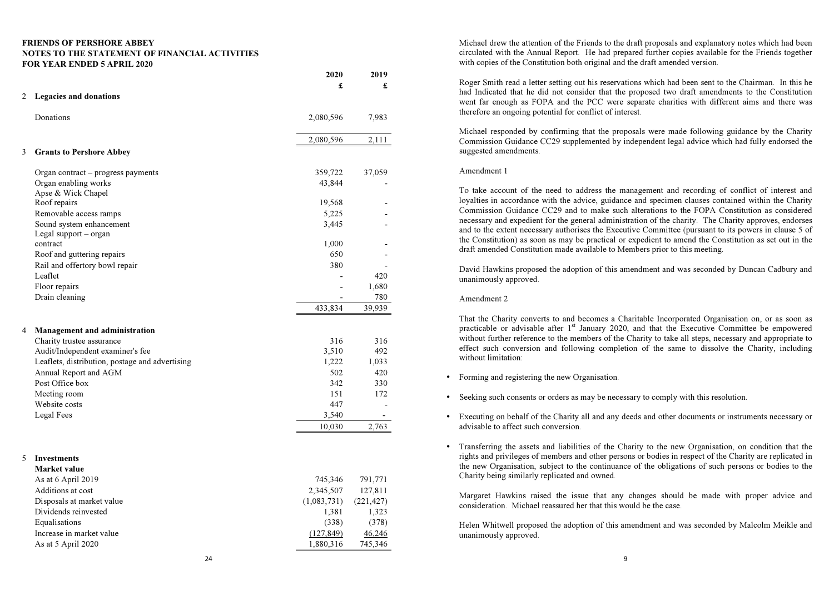## **FRIENDS OF PERSHORE ABBEY NOTES TO THE STATEMENT OF FINANCIAL ACTIVITIES FOR YEAR ENDED 5 APRIL 2020**

|                |                                                 | 2020        | 2019       |
|----------------|-------------------------------------------------|-------------|------------|
|                |                                                 | £           | £          |
| 2              | <b>Legacies and donations</b>                   |             |            |
|                | Donations                                       | 2,080,596   | 7,983      |
|                |                                                 | 2,080,596   | 2,111      |
| 3              | <b>Grants to Pershore Abbey</b>                 |             |            |
|                | Organ contract - progress payments              | 359,722     | 37,059     |
|                | Organ enabling works                            | 43,844      |            |
|                | Apse & Wick Chapel                              |             |            |
|                | Roof repairs                                    | 19,568      |            |
|                | Removable access ramps                          | 5,225       |            |
|                | Sound system enhancement                        | 3,445       |            |
|                | Legal support - organ                           |             |            |
|                | contract                                        | 1,000       |            |
|                | Roof and guttering repairs                      | 650         |            |
|                | Rail and offertory bowl repair                  | 380         |            |
|                | Leaflet                                         |             | 420        |
|                | Floor repairs                                   |             | 1,680      |
|                | Drain cleaning                                  |             | 780        |
|                |                                                 | 433,834     | 39,939     |
|                |                                                 |             |            |
| $\overline{4}$ | <b>Management and administration</b>            |             |            |
|                | Charity trustee assurance                       | 316         | 316        |
|                | Audit/Independent examiner's fee                | 3,510       | 492        |
|                | Leaflets, distribution, postage and advertising | 1,222       | 1,033      |
|                | Annual Report and AGM                           | 502         | 420        |
|                | Post Office box                                 | 342         | 330        |
|                | Meeting room                                    | 151         | 172        |
|                | Website costs                                   | 447         |            |
|                | Legal Fees                                      | 3,540       |            |
|                |                                                 |             |            |
|                |                                                 | 10,030      | 2,763      |
|                |                                                 |             |            |
| 5              | <b>Investments</b>                              |             |            |
|                | Market value                                    |             |            |
|                | As at 6 April 2019                              | 745,346     | 791,771    |
|                | Additions at cost                               | 2,345,507   | 127,811    |
|                | Disposals at market value                       | (1,083,731) | (221, 427) |
|                | Dividends reinvested                            | 1,381       | 1,323      |
|                | Equalisations                                   | (338)       | (378)      |
|                | Increase in market value                        | (127, 849)  | 46,246     |
|                | As at 5 April 2020                              | 1,880,316   | 745,346    |
|                |                                                 |             |            |

Michael drew the attention of the Friends to the draft proposals and explanatory notes which had been circulated with the Annual Report. He had prepared further copies available for the Friends together with copies of the Constitution both original and the draft amended version.

Roger Smith read a letter setting out his reservations which had been sent to the Chairman. In this he had Indicated that he did not consider that the proposed two draft amendments to the Constitution went far enough as FOPA and the PCC were separate charities with different aims and there was therefore an ongoing potential for conflict of interest.

Michael responded by confirming that the proposals were made following guidance by the Charity Commission Guidance CC29 supplemented by independent legal advice which had fully endorsed the suggested amendments.

### Amendment 1

To take account of the need to address the management and recording of conflict of interest and loyalties in accordance with the advice, guidance and specimen clauses contained within the Charity Commission Guidance CC29 and to make such alterations to the FOPA Constitution as considered necessary and expedient for the general administration of the charity. The Charity approves, endorses and to the extent necessary authorises the Executive Committee (pursuant to its powers in clause 5 of the Constitution) as soon as may be practical or expedient to amend the Constitution as set out in the draft amended Constitution made available to Members prior to this meeting.

David Hawkins proposed the adoption of this amendment and was seconded by Duncan Cadbury and unanimously approved.

## Amendment 2

That the Charity converts to and becomes a Charitable Incorporated Organisation on, or as soon as practicable or advisable after  $1<sup>st</sup>$  January 2020, and that the Executive Committee be empowered without further reference to the members of the Charity to take all steps, necessary and appropriate to effect such conversion and following completion of the same to dissolve the Charity, including without limitation:

- Forming and registering the new Organisation.
- Seeking such consents or orders as may be necessary to comply with this resolution.
- Executing on behalf of the Charity all and any deeds and other documents or instruments necessary or advisable to affect such conversion.
- Transferring the assets and liabilities of the Charity to the new Organisation, on condition that the rights and privileges of members and other persons or bodies in respect of the Charity are replicated in the new Organisation, subject to the continuance of the obligations of such persons or bodies to the Charity being similarly replicated and owned.

Margaret Hawkins raised the issue that any changes should be made with proper advice and consideration. Michael reassured her that this would be the case.

Helen Whitwell proposed the adoption of this amendment and was seconded by Malcolm Meikle and unanimously approved.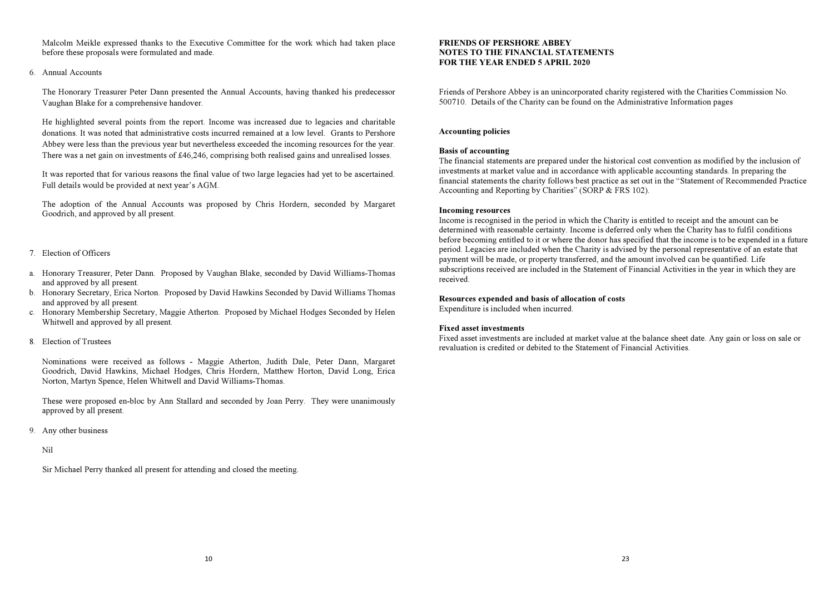Malcolm Meikle expressed thanks to the Executive Committee for the work which had taken place before these proposals were formulated and made.

# 6. Annual Accounts

The Honorary Treasurer Peter Dann presented the Annual Accounts, having thanked his predecessor Vaughan Blake for a comprehensive handover.

He highlighted several points from the report. Income was increased due to legacies and charitable donations. It was noted that administrative costs incurred remained at a low level. Grants to Pershore Abbey were less than the previous year but nevertheless exceeded the incoming resources for the year. There was a net gain on investments of £46,246, comprising both realised gains and unrealised losses.

It was reported that for various reasons the final value of two large legacies had yet to be ascertained. Full details would be provided at next year's AGM.

The adoption of the Annual Accounts was proposed by Chris Hordern, seconded by Margaret Goodrich, and approved by all present.

## 7. Election of Officers

- a. Honorary Treasurer, Peter Dann. Proposed by Vaughan Blake, seconded by David Williams-Thomas and approved by all present.
- b. Honorary Secretary, Erica Norton. Proposed by David Hawkins Seconded by David Williams Thomas and approved by all present.
- c. Honorary Membership Secretary, Maggie Atherton. Proposed by Michael Hodges Seconded by Helen Whitwell and approved by all present.

# 8. Election of Trustees

Nominations were received as follows - Maggie Atherton, Judith Dale, Peter Dann, Margaret Goodrich, David Hawkins, Michael Hodges, Chris Hordern, Matthew Horton, David Long, Erica Norton, Martyn Spence, Helen Whitwell and David Williams-Thomas.

These were proposed en-bloc by Ann Stallard and seconded by Joan Perry. They were unanimously approved by all present.

9. Any other business

Nil

Sir Michael Perry thanked all present for attending and closed the meeting.

## **FRIENDS OF PERSHORE ABBEY NOTES TO THE FINANCIAL STATEMENTS FOR THE YEAR ENDED 5 APRIL 2020**

Friends of Pershore Abbey is an unincorporated charity registered with the Charities Commission No. 500710. Details of the Charity can be found on the Administrative Information pages

## **Accounting policies**

# **Basis of accounting**

The financial statements are prepared under the historical cost convention as modified by the inclusion of investments at market value and in accordance with applicable accounting standards. In preparing the financial statements the charity follows best practice as set out in the "Statement of Recommended Practice Accounting and Reporting by Charities" (SORP & FRS 102).

## **Incoming resources**

Income is recognised in the period in which the Charity is entitled to receipt and the amount can be determined with reasonable certainty. Income is deferred only when the Charity has to fulfil conditions before becoming entitled to it or where the donor has specified that the income is to be expended in a future period. Legacies are included when the Charity is advised by the personal representative of an estate that payment will be made, or property transferred, and the amount involved can be quantified. Life subscriptions received are included in the Statement of Financial Activities in the year in which they are received.

### **Resources expended and basis of allocation of costs**

Expenditure is included when incurred.

### **Fixed asset investments**

Fixed asset investments are included at market value at the balance sheet date. Any gain or loss on sale or revaluation is credited or debited to the Statement of Financial Activities.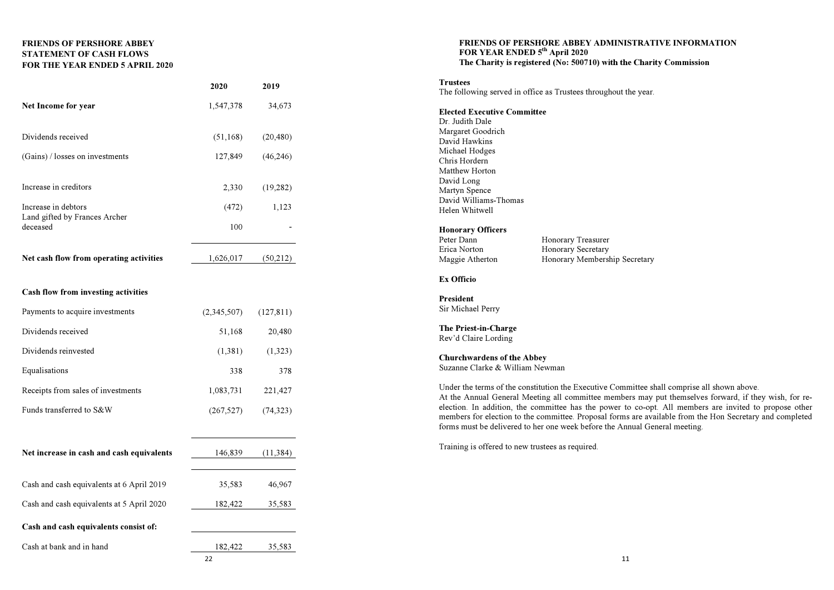# **FRIENDS OF PERSHORE ABBEY STATEMENT OF CASH FLOWS FOR THE YEAR ENDED 5 APRIL 2020**

|                                                      | 2020        | 2019       |
|------------------------------------------------------|-------------|------------|
| Net Income for year                                  | 1,547,378   | 34,673     |
|                                                      |             |            |
| Dividends received                                   | (51, 168)   | (20, 480)  |
| (Gains) / losses on investments                      | 127,849     | (46,246)   |
|                                                      |             |            |
| Increase in creditors                                | 2,330       | (19,282)   |
| Increase in debtors<br>Land gifted by Frances Archer | (472)       | 1,123      |
| deceased                                             | 100         |            |
|                                                      |             |            |
| Net cash flow from operating activities              | 1,626,017   | (50,212)   |
|                                                      |             |            |
| Cash flow from investing activities                  |             |            |
| Payments to acquire investments                      | (2,345,507) | (127, 811) |
| Dividends received                                   | 51,168      | 20,480     |
| Dividends reinvested                                 | (1, 381)    | (1,323)    |
| Equalisations                                        | 338         | 378        |
| Receipts from sales of investments                   | 1,083,731   | 221,427    |
| Funds transferred to S&W                             | (267, 527)  | (74, 323)  |
|                                                      |             |            |
| Net increase in cash and cash equivalents            | 146,839     | (11, 384)  |
|                                                      |             |            |
| Cash and cash equivalents at 6 April 2019            | 35,583      | 46,967     |
| Cash and cash equivalents at 5 April 2020            | 182,422     | 35,583     |
| Cash and cash equivalents consist of:                |             |            |
| Cash at bank and in hand                             | 182,422     | 35,583     |
|                                                      | 22          |            |

## **FRIENDS OF PERSHORE ABBEY ADMINISTRATIVE INFORMATION** FOR YEAR ENDED 5<sup>th</sup> April 2020 **The Charity is registered (No: 500710) with the Charity Commission**

**Trustees** The following served in office as Trustees throughout the year. **Elected Executive Committee** Dr. Judith Dale Margaret Goodrich David Hawkins Michael Hodges Chris Hordern Matthew Horton David Long Martyn Spence David Williams-Thomas Helen Whitwell **Honorary Officers** Peter Dann **Honorary Treasurer**<br>**Frica Norton** Honorary Secretary Erica Norton Honorary Secretary<br>
Maggie Atherton Honorary Members Honorary Membership Secretary **Ex Officio President** Sir Michael Perry **The Priest-in-Charge** Rev'd Claire Lording **Churchwardens of the Abbey** Suzanne Clarke & William Newman Under the terms of the constitution the Executive Committee shall comprise all shown above. At the Annual General Meeting all committee members may put themselves forward, if they wish, for reelection. In addition, the committee has the power to co-opt. All members are invited to propose other members for election to the committee. Proposal forms are available from the Hon Secretary and completed forms must be delivered to her one week before the Annual General meeting. Training is offered to new trustees as required.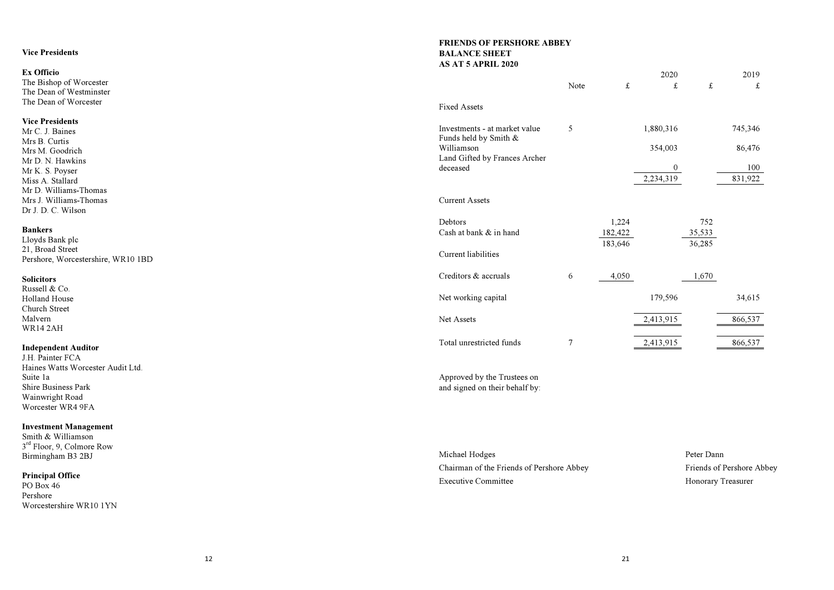|                                       | <b>FRIENDS OF PERSHORE ABBEY</b>          |        |         |              |                    |                           |
|---------------------------------------|-------------------------------------------|--------|---------|--------------|--------------------|---------------------------|
| <b>Vice Presidents</b>                | <b>BALANCE SHEET</b>                      |        |         |              |                    |                           |
| Ex Officio                            | AS AT 5 APRIL 2020                        |        |         |              |                    |                           |
| The Bishop of Worcester               |                                           |        |         | 2020         |                    | 2019                      |
| The Dean of Westminster               |                                           | Note   | £       | $\mathbf f$  | £                  | £                         |
| The Dean of Worcester                 |                                           |        |         |              |                    |                           |
|                                       | <b>Fixed Assets</b>                       |        |         |              |                    |                           |
| <b>Vice Presidents</b>                |                                           |        |         |              |                    |                           |
| Mr C. J. Baines                       | Investments - at market value             | 5      |         | 1,880,316    |                    | 745,346                   |
| Mrs B. Curtis                         | Funds held by Smith &                     |        |         |              |                    |                           |
| Mrs M. Goodrich                       | Williamson                                |        |         | 354,003      |                    | 86,476                    |
| Mr D. N. Hawkins                      | Land Gifted by Frances Archer             |        |         |              |                    |                           |
| Mr K. S. Poyser                       | deceased                                  |        |         | $\mathbf{0}$ |                    | 100                       |
| Miss A. Stallard                      |                                           |        |         | 2,234,319    |                    | 831,922                   |
| Mr D. Williams-Thomas                 |                                           |        |         |              |                    |                           |
| Mrs J. Williams-Thomas                | <b>Current Assets</b>                     |        |         |              |                    |                           |
| Dr J. D. C. Wilson                    |                                           |        |         |              |                    |                           |
|                                       | Debtors                                   |        | 1,224   |              | 752                |                           |
| <b>Bankers</b>                        | Cash at bank & in hand                    |        | 182,422 |              | 35,533             |                           |
| Lloyds Bank plc                       |                                           |        | 183,646 |              | 36,285             |                           |
| 21, Broad Street                      |                                           |        |         |              |                    |                           |
| Pershore, Worcestershire, WR10 1BD    | Current liabilities                       |        |         |              |                    |                           |
| Solicitors                            | Creditors & accruals                      | 6      | 4,050   |              | 1,670              |                           |
| Russell & Co.                         |                                           |        |         |              |                    |                           |
| Holland House                         | Net working capital                       |        |         | 179,596      |                    | 34,615                    |
| Church Street                         |                                           |        |         |              |                    |                           |
| Malvern                               | Net Assets                                |        |         | 2,413,915    |                    | 866,537                   |
| WR14 2AH                              |                                           |        |         |              |                    |                           |
|                                       |                                           | $\tau$ |         |              |                    |                           |
| <b>Independent Auditor</b>            | Total unrestricted funds                  |        |         | 2,413,915    |                    | 866,537                   |
| J.H. Painter FCA                      |                                           |        |         |              |                    |                           |
| Haines Watts Worcester Audit Ltd.     |                                           |        |         |              |                    |                           |
| Suite 1a                              | Approved by the Trustees on               |        |         |              |                    |                           |
| Shire Business Park                   | and signed on their behalf by:            |        |         |              |                    |                           |
| Wainwright Road                       |                                           |        |         |              |                    |                           |
| Worcester WR4 9FA                     |                                           |        |         |              |                    |                           |
| <b>Investment Management</b>          |                                           |        |         |              |                    |                           |
| Smith & Williamson                    |                                           |        |         |              |                    |                           |
| 3 <sup>rd</sup> Floor, 9, Colmore Row |                                           |        |         |              |                    |                           |
| Birmingham B3 2BJ                     | Michael Hodges                            |        |         |              | Peter Dann         |                           |
|                                       |                                           |        |         |              |                    |                           |
| <b>Principal Office</b>               | Chairman of the Friends of Pershore Abbey |        |         |              |                    | Friends of Pershore Abbey |
| PO Box 46                             | <b>Executive Committee</b>                |        |         |              | Honorary Treasurer |                           |
|                                       |                                           |        |         |              |                    |                           |

Pershore

Worcestershire WR10 1YN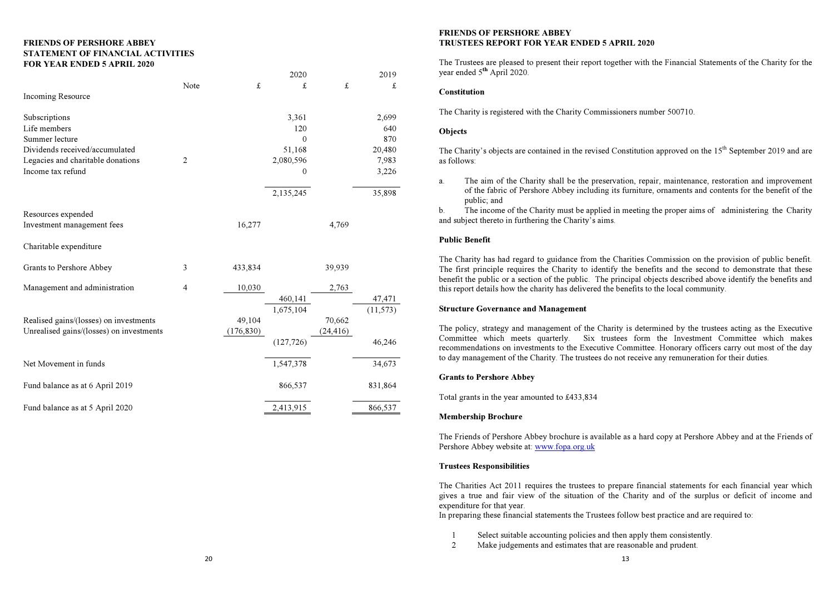# **FRIENDS OF PERSHORE ABBEY STATEMENT OF FINANCIAL ACTIVITIES FOR YEAR ENDED 5 APRIL 2020**

|                                          |                |            | 2020       |           | 2019      |
|------------------------------------------|----------------|------------|------------|-----------|-----------|
|                                          | Note           | £          | £          | £         | £         |
| Incoming Resource                        |                |            |            |           |           |
| Subscriptions                            |                |            | 3,361      |           | 2,699     |
| Life members                             |                |            | 120        |           | 640       |
| Summer lecture                           |                |            | $\Omega$   |           | 870       |
| Dividends received/accumulated           |                |            | 51,168     |           | 20,480    |
| Legacies and charitable donations        | $\overline{2}$ |            | 2,080,596  |           | 7,983     |
| Income tax refund                        |                |            | $\Omega$   |           | 3,226     |
|                                          |                |            | 2,135,245  |           | 35,898    |
| Resources expended                       |                |            |            |           |           |
| Investment management fees               |                | 16,277     |            | 4,769     |           |
| Charitable expenditure                   |                |            |            |           |           |
| Grants to Pershore Abbey                 | 3              | 433,834    |            | 39,939    |           |
| Management and administration            | 4              | 10,030     |            | 2,763     |           |
|                                          |                |            | 460,141    |           | 47,471    |
|                                          |                |            | 1,675,104  |           | (11, 573) |
| Realised gains/(losses) on investments   |                | 49,104     |            | 70,662    |           |
| Unrealised gains/(losses) on investments |                | (176, 830) |            | (24, 416) |           |
|                                          |                |            | (127, 726) |           | 46,246    |
| Net Movement in funds                    |                |            | 1,547,378  |           | 34,673    |
| Fund balance as at 6 April 2019          |                |            | 866,537    |           | 831,864   |
| Fund balance as at 5 April 2020          |                |            | 2,413,915  |           | 866,537   |

# **FRIENDS OF PERSHORE ABBEY TRUSTEES REPORT FOR YEAR ENDED 5 APRIL 2020**

The Trustees are pleased to present their report together with the Financial Statements of the Charity for the year ended 5**th** April 2020.

### **Constitution**

The Charity is registered with the Charity Commissioners number 500710.

## **Objects**

The Charity's objects are contained in the revised Constitution approved on the  $15<sup>th</sup>$  September 2019 and are as follows:

a. The aim of the Charity shall be the preservation, repair, maintenance, restoration and improvement of the fabric of Pershore Abbey including its furniture, ornaments and contents for the benefit of the public; and

b. The income of the Charity must be applied in meeting the proper aims of administering the Charity and subject thereto in furthering the Charity's aims.

# **Public Benefit**

The Charity has had regard to guidance from the Charities Commission on the provision of public benefit. The first principle requires the Charity to identify the benefits and the second to demonstrate that these benefit the public or a section of the public. The principal objects described above identify the benefits and this report details how the charity has delivered the benefits to the local community.

# **Structure Governance and Management**

The policy, strategy and management of the Charity is determined by the trustees acting as the Executive Committee which meets quarterly. Six trustees form the Investment Committee which makes recommendations on investments to the Executive Committee. Honorary officers carry out most of the day to day management of the Charity. The trustees do not receive any remuneration for their duties.

# **Grants to Pershore Abbey**

Total grants in the year amounted to £433,834

### **Membership Brochure**

The Friends of Pershore Abbey brochure is available as a hard copy at Pershore Abbey and at the Friends of Pershore Abbey website at: www.fopa.org.uk

### **Trustees Responsibilities**

The Charities Act 2011 requires the trustees to prepare financial statements for each financial year which gives a true and fair view of the situation of the Charity and of the surplus or deficit of income and expenditure for that year.

In preparing these financial statements the Trustees follow best practice and are required to:

- 1 Select suitable accounting policies and then apply them consistently.<br>2 Make judgements and estimates that are reasonable and prudent
- Make judgements and estimates that are reasonable and prudent.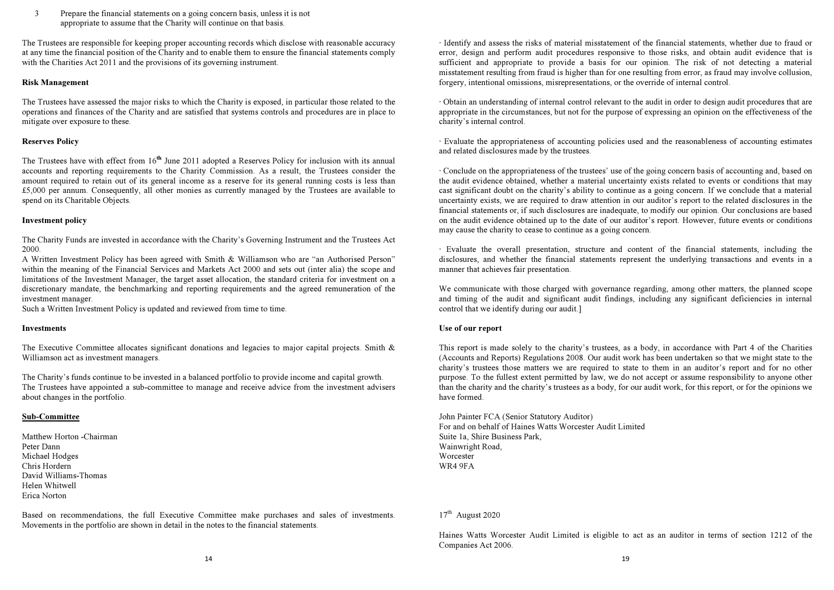3 Prepare the financial statements on a going concern basis, unless it is not appropriate to assume that the Charity will continue on that basis.

The Trustees are responsible for keeping proper accounting records which disclose with reasonable accuracy at any time the financial position of the Charity and to enable them to ensure the financial statements comply with the Charities Act 2011 and the provisions of its governing instrument.

# **Risk Management**

The Trustees have assessed the major risks to which the Charity is exposed, in particular those related to the operations and finances of the Charity and are satisfied that systems controls and procedures are in place to mitigate over exposure to these.

# **Reserves Policy**

The Trustees have with effect from 16**th** June 2011 adopted a Reserves Policy for inclusion with its annual accounts and reporting requirements to the Charity Commission. As a result, the Trustees consider the amount required to retain out of its general income as a reserve for its general running costs is less than £5,000 per annum. Consequently, all other monies as currently managed by the Trustees are available to spend on its Charitable Objects.

# **Investment policy**

The Charity Funds are invested in accordance with the Charity's Governing Instrument and the Trustees Act 2000.

A Written Investment Policy has been agreed with Smith & Williamson who are "an Authorised Person" within the meaning of the Financial Services and Markets Act 2000 and sets out (inter alia) the scope and limitations of the Investment Manager, the target asset allocation, the standard criteria for investment on a discretionary mandate, the benchmarking and reporting requirements and the agreed remuneration of the investment manager.

Such a Written Investment Policy is updated and reviewed from time to time.

# **Investments**

The Executive Committee allocates significant donations and legacies to major capital projects. Smith & Williamson act as investment managers.

The Charity's funds continue to be invested in a balanced portfolio to provide income and capital growth. The Trustees have appointed a sub-committee to manage and receive advice from the investment advisers about changes in the portfolio.

# **Sub-Committee**

Matthew Horton -Chairman Peter Dann Michael Hodges Chris Hordern David Williams-Thomas Helen Whitwell Erica Norton

Based on recommendations, the full Executive Committee make purchases and sales of investments. Movements in the portfolio are shown in detail in the notes to the financial statements.

· Identify and assess the risks of material misstatement of the financial statements, whether due to fraud or error, design and perform audit procedures responsive to those risks, and obtain audit evidence that is sufficient and appropriate to provide a basis for our opinion. The risk of not detecting a material misstatement resulting from fraud is higher than for one resulting from error, as fraud may involve collusion, forgery, intentional omissions, misrepresentations, or the override of internal control.

· Obtain an understanding of internal control relevant to the audit in order to design audit procedures that are appropriate in the circumstances, but not for the purpose of expressing an opinion on the effectiveness of the charity's internal control.

· Evaluate the appropriateness of accounting policies used and the reasonableness of accounting estimates and related disclosures made by the trustees.

· Conclude on the appropriateness of the trustees' use of the going concern basis of accounting and, based on the audit evidence obtained, whether a material uncertainty exists related to events or conditions that may cast significant doubt on the charity's ability to continue as a going concern. If we conclude that a material uncertainty exists, we are required to draw attention in our auditor's report to the related disclosures in the financial statements or, if such disclosures are inadequate, to modify our opinion. Our conclusions are based on the audit evidence obtained up to the date of our auditor's report. However, future events or conditions may cause the charity to cease to continue as a going concern.

· Evaluate the overall presentation, structure and content of the financial statements, including the disclosures, and whether the financial statements represent the underlying transactions and events in a manner that achieves fair presentation.

We communicate with those charged with governance regarding, among other matters, the planned scope and timing of the audit and significant audit findings, including any significant deficiencies in internal control that we identify during our audit.]

# **Use of our report**

This report is made solely to the charity's trustees, as a body, in accordance with Part 4 of the Charities (Accounts and Reports) Regulations 2008. Our audit work has been undertaken so that we might state to the charity's trustees those matters we are required to state to them in an auditor's report and for no other purpose. To the fullest extent permitted by law, we do not accept or assume responsibility to anyone other than the charity and the charity's trustees as a body, for our audit work, for this report, or for the opinions we have formed.

John Painter FCA (Senior Statutory Auditor) For and on behalf of Haines Watts Worcester Audit Limited Suite 1a, Shire Business Park, Wainwright Road, **Worcester** WR4 9FA

 $17<sup>th</sup>$  August 2020

Haines Watts Worcester Audit Limited is eligible to act as an auditor in terms of section 1212 of the Companies Act 2006.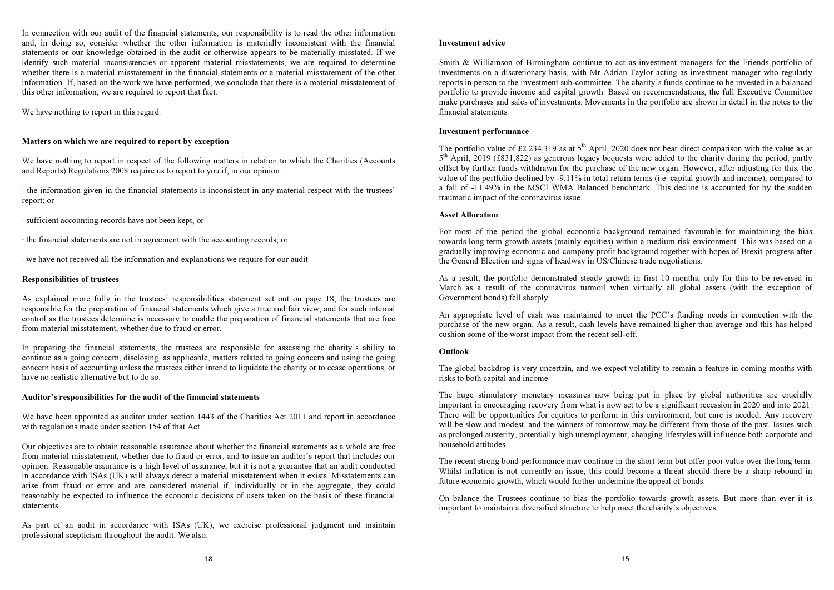In connection with our audit of the financial statements, our responsibility is to read the other information and, in doing so, consider whether the other information is materially inconsistent with the financial statements or our knowledge obtained in the audit or otherwise appears to be materially misstated. If we identify such material inconsistencies or apparent material misstatements, we are required to determine whether there is a material misstatement in the financial statements or a material misstatement of the other information. If, based on the work we have performed, we conclude that there is a material misstatement of this other information, we are required to report that fact.

We have nothing to report in this regard.

## **Matters on which we are required to report by exception**

We have nothing to report in respect of the following matters in relation to which the Charities (Accounts and Reports) Regulations 2008 require us to report to you if, in our opinion:

· the information given in the financial statements is inconsistent in any material respect with the trustees' report; or

· sufficient accounting records have not been kept; or

· the financial statements are not in agreement with the accounting records; or

· we have not received all the information and explanations we require for our audit.

#### **Responsibilities of trustees**

As explained more fully in the trustees' responsibilities statement set out on page 18, the trustees are responsible for the preparation of financial statements which give a true and fair view, and for such internal control as the trustees determine is necessary to enable the preparation of financial statements that are free from material misstatement, whether due to fraud or error.

In preparing the financial statements, the trustees are responsible for assessing the charity's ability to continue as a going concern, disclosing, as applicable, matters related to going concern and using the going concern basis of accounting unless the trustees either intend to liquidate the charity or to cease operations, or have no realistic alternative but to do so.

### **Auditor's responsibilities for the audit of the financial statements**

We have been appointed as auditor under section 1443 of the Charities Act 2011 and report in accordance with regulations made under section 154 of that Act.

Our objectives are to obtain reasonable assurance about whether the financial statements as a whole are free from material misstatement, whether due to fraud or error, and to issue an auditor's report that includes our opinion. Reasonable assurance is a high level of assurance, but it is not a guarantee that an audit conducted in accordance with ISAs (UK) will always detect a material misstatement when it exists. Misstatements can arise from fraud or error and are considered material if, individually or in the aggregate, they could reasonably be expected to influence the economic decisions of users taken on the basis of these financial statements.

As part of an audit in accordance with ISAs (UK), we exercise professional judgment and maintain professional scepticism throughout the audit. We also:

#### **Investment advice**

Smith & Williamson of Birmingham continue to act as investment managers for the Friends portfolio of investments on a discretionary basis, with Mr Adrian Taylor acting as investment manager who regularly reports in person to the investment sub-committee. The charity's funds continue to be invested in a balanced portfolio to provide income and capital growth. Based on recommendations, the full Executive Committee make purchases and sales of investments. Movements in the portfolio are shown in detail in the notes to the financial statements.

### **Investment performance**

The portfolio value of £2,234,319 as at  $5<sup>th</sup>$  April, 2020 does not bear direct comparison with the value as at  $5<sup>th</sup>$  April, 2019 (£831,822) as generous legacy bequests were added to the charity during the period, partly offset by further funds withdrawn for the purchase of the new organ. However, after adjusting for this, the value of the portfolio declined by -9.11% in total return terms (i.e. capital growth and income), compared to a fall of -11.49% in the MSCI WMA Balanced benchmark. This decline is accounted for by the sudden traumatic impact of the coronavirus issue.

# **Asset Allocation**

For most of the period the global economic background remained favourable for maintaining the bias towards long term growth assets (mainly equities) within a medium risk environment. This was based on a gradually improving economic and company profit background together with hopes of Brexit progress after the General Election and signs of headway in US/Chinese trade negotiations.

As a result, the portfolio demonstrated steady growth in first 10 months, only for this to be reversed in March as a result of the coronavirus turmoil when virtually all global assets (with the exception of Government bonds) fell sharply.

An appropriate level of cash was maintained to meet the PCC's funding needs in connection with the purchase of the new organ. As a result, cash levels have remained higher than average and this has helped cushion some of the worst impact from the recent sell-off.

# **Outlook**

The global backdrop is very uncertain, and we expect volatility to remain a feature in coming months with risks to both capital and income.

The huge stimulatory monetary measures now being put in place by global authorities are crucially important in encouraging recovery from what is now set to be a significant recession in 2020 and into 2021. There will be opportunities for equities to perform in this environment, but care is needed. Any recovery will be slow and modest, and the winners of tomorrow may be different from those of the past. Issues such as prolonged austerity, potentially high unemployment, changing lifestyles will influence both corporate and household attitudes.

The recent strong bond performance may continue in the short term but offer poor value over the long term. Whilst inflation is not currently an issue, this could become a threat should there be a sharp rebound in future economic growth, which would further undermine the appeal of bonds.

On balance the Trustees continue to bias the portfolio towards growth assets. But more than ever it is important to maintain a diversified structure to help meet the charity's objectives.